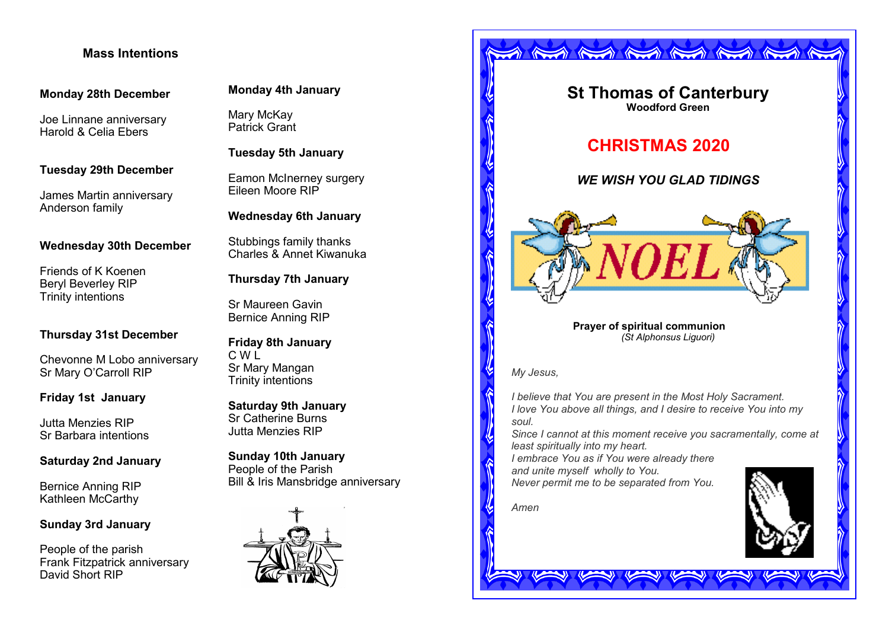# **Mass Intentions**

# **Monday 28th December**

Joe Linnane anniversary Harold & Celia Ebers

# **Tuesday 29th December**

James Martin anniversary Anderson family

# **Wednesday 30th December**

Friends of K Koenen Beryl Beverley RIP Trinity intentions

# **Thursday 31st December**

Chevonne M Lobo anniversary Sr Mary O'Carroll RIP

# **Friday 1st January**

Jutta Menzies RIP Sr Barbara intentions

# **Saturday 2nd January**

Bernice Anning RIP Kathleen McCarthy

# **Sunday 3rd January**

People of the parish Frank Fitzpatrick anniversary David Short RIP

# **Monday 4th January**

Mary McKay Patrick Grant

# **Tuesday 5th January**

Eamon McInerney surgery Eileen Moore RIP

# **Wednesday 6th January**

Stubbings family thanks Charles & Annet Kiwanuka

# **Thursday 7th January**

Sr Maureen Gavin Bernice Anning RIP

#### **Friday 8th January** C W L Sr Mary Mangan Trinity intentions

**Saturday 9th January** Sr Catherine Burns Jutta Menzies RIP

**Sunday 10th January** People of the Parish Bill & Iris Mansbridge anniversary



**St Thomas of Canterbury Woodford Green CHRISTMAS 2020** *WE WISH YOU GLAD TIDINGS*

And had had had had



**Prayer of spiritual communion**  *(St Alphonsus Liguori)*

#### *My Jesus,*

*I believe that You are present in the Most Holy Sacrament. I love You above all things, and I desire to receive You into my soul.*

*Since I cannot at this moment receive you sacramentally, come at least spiritually into my heart.*

*I embrace You as if You were already there and unite myself wholly to You.*

*Never permit me to be separated from You.* 

*Amen*